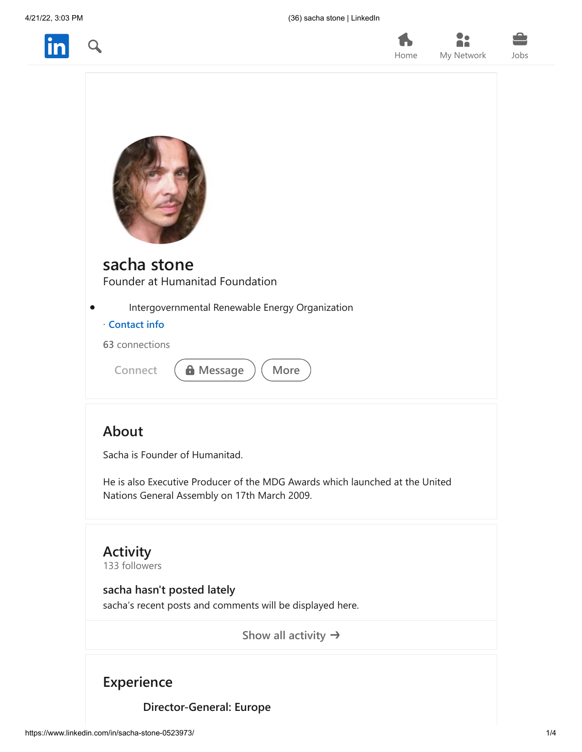



| Home | My Network | Jobs |
|------|------------|------|
|      |            |      |
|      |            |      |
|      |            |      |

 $22$ 

| sacha stone<br>Founder at Humanitad Foundation  |
|-------------------------------------------------|
| Intergovernmental Renewable Energy Organization |
| · Contact info                                  |
| 63 connections                                  |
| <b>A</b> Message<br>More<br>Connect             |
|                                                 |

## **About**

Sacha is Founder of Humanitad.

He is also Executive Producer of the MDG Awards which launched at the United Nations General Assembly on 17th March 2009.

**Activity** 133 followers

<span id="page-0-0"></span>**sacha hasn't posted lately** sacha's recent posts and comments will be displayed here.

**[Show all activity](https://www.linkedin.com/in/sacha-stone-0523973/recent-activity/)**

## **Experience**

**Director-General: Europe**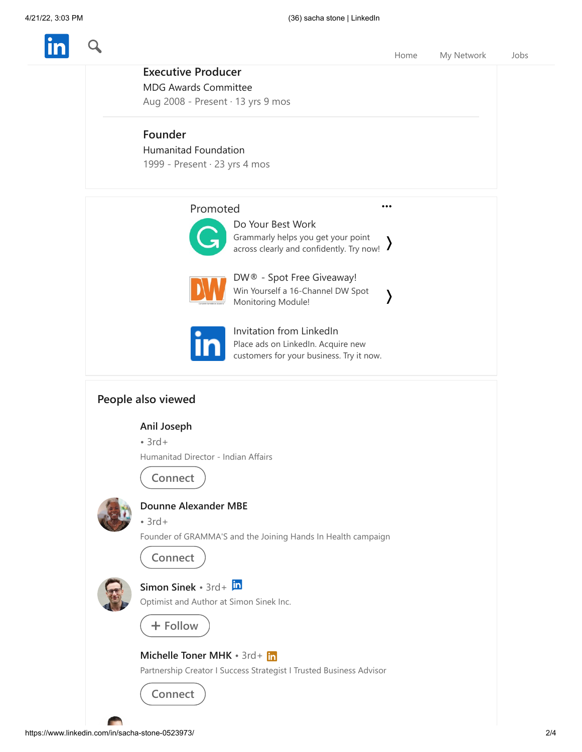

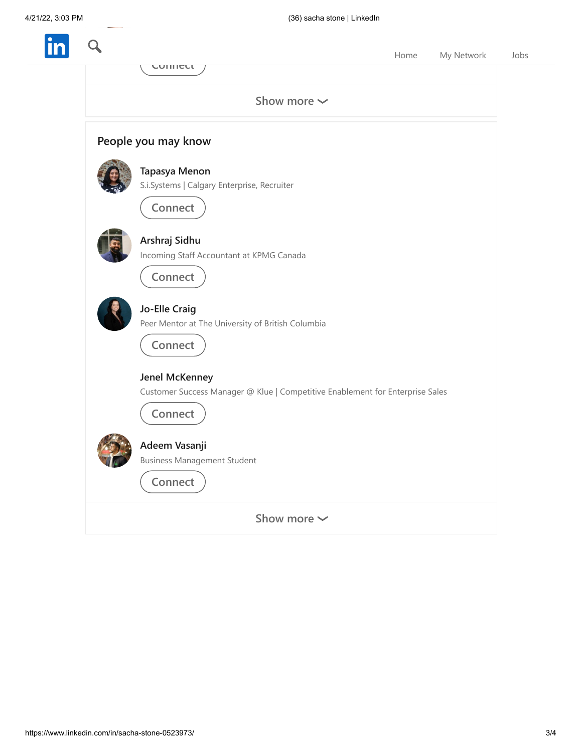